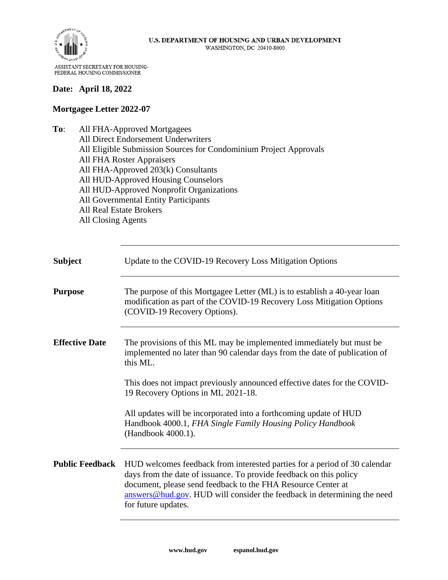

#### **Date: April 18, 2022**

#### **Mortgagee Letter 2022-07**

**To**: All FHA-Approved Mortgagees All Direct Endorsement Underwriters All Eligible Submission Sources for Condominium Project Approvals All FHA Roster Appraisers All FHA-Approved 203(k) Consultants All HUD-Approved Housing Counselors All HUD-Approved Nonprofit Organizations All Governmental Entity Participants All Real Estate Brokers All Closing Agents

| <b>Subject</b>         | Update to the COVID-19 Recovery Loss Mitigation Options                                                                                                                                                                                                                                                              |
|------------------------|----------------------------------------------------------------------------------------------------------------------------------------------------------------------------------------------------------------------------------------------------------------------------------------------------------------------|
| <b>Purpose</b>         | The purpose of this Mortgagee Letter (ML) is to establish a 40-year loan<br>modification as part of the COVID-19 Recovery Loss Mitigation Options<br>(COVID-19 Recovery Options).                                                                                                                                    |
| <b>Effective Date</b>  | The provisions of this ML may be implemented immediately but must be<br>implemented no later than 90 calendar days from the date of publication of<br>this ML.                                                                                                                                                       |
|                        | This does not impact previously announced effective dates for the COVID-<br>19 Recovery Options in ML 2021-18.                                                                                                                                                                                                       |
|                        | All updates will be incorporated into a forthcoming update of HUD<br>Handbook 4000.1, FHA Single Family Housing Policy Handbook<br>(Handbook 4000.1).                                                                                                                                                                |
| <b>Public Feedback</b> | HUD welcomes feedback from interested parties for a period of 30 calendar<br>days from the date of issuance. To provide feedback on this policy<br>document, please send feedback to the FHA Resource Center at<br>$answers@hud.gov$ . HUD will consider the feedback in determining the need<br>for future updates. |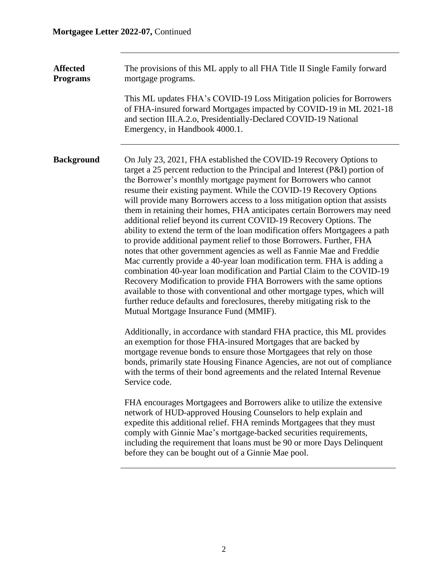**Affected Programs** The provisions of this ML apply to all FHA Title II Single Family forward mortgage programs.

> This ML updates FHA's COVID-19 Loss Mitigation policies for Borrowers of FHA-insured forward Mortgages impacted by COVID-19 in ML 2021-18 and section III.A.2.o, Presidentially-Declared COVID-19 National Emergency, in Handbook 4000.1.

**Background** On July 23, 2021, FHA established the COVID-19 Recovery Options to target a 25 percent reduction to the Principal and Interest (P&I) portion of the Borrower's monthly mortgage payment for Borrowers who cannot resume their existing payment. While the COVID-19 Recovery Options will provide many Borrowers access to a loss mitigation option that assists them in retaining their homes, FHA anticipates certain Borrowers may need additional relief beyond its current COVID-19 Recovery Options. The ability to extend the term of the loan modification offers Mortgagees a path to provide additional payment relief to those Borrowers. Further, FHA notes that other government agencies as well as Fannie Mae and Freddie Mac currently provide a 40-year loan modification term. FHA is adding a combination 40-year loan modification and Partial Claim to the COVID-19 Recovery Modification to provide FHA Borrowers with the same options available to those with conventional and other mortgage types, which will further reduce defaults and foreclosures, thereby mitigating risk to the Mutual Mortgage Insurance Fund (MMIF).

> Additionally, in accordance with standard FHA practice, this ML provides an exemption for those FHA-insured Mortgages that are backed by mortgage revenue bonds to ensure those Mortgagees that rely on those bonds, primarily state Housing Finance Agencies, are not out of compliance with the terms of their bond agreements and the related Internal Revenue Service code.

FHA encourages Mortgagees and Borrowers alike to utilize the extensive network of HUD-approved Housing Counselors to help explain and expedite this additional relief. FHA reminds Mortgagees that they must comply with Ginnie Mae's mortgage-backed securities requirements, including the requirement that loans must be 90 or more Days Delinquent before they can be bought out of a Ginnie Mae pool.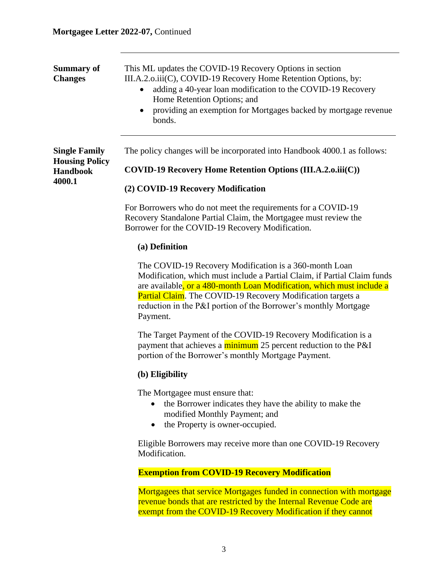**Single Family Housing Policy Handbook 4000.1**

| <b>Summary of</b> | This ML updates the COVID-19 Recovery Options in section                                   |
|-------------------|--------------------------------------------------------------------------------------------|
| <b>Changes</b>    | III.A.2.o.iii(C), COVID-19 Recovery Home Retention Options, by:                            |
|                   | adding a 40-year loan modification to the COVID-19 Recovery<br>Home Retention Options; and |
|                   | providing an exemption for Mortgages backed by mortgage revenue<br>bonds.                  |
|                   |                                                                                            |

The policy changes will be incorporated into Handbook 4000.1 as follows:

**COVID-19 Recovery Home Retention Options (III.A.2.o.iii(C))**

#### **(2) COVID-19 Recovery Modification**

For Borrowers who do not meet the requirements for a COVID-19 Recovery Standalone Partial Claim, the Mortgagee must review the Borrower for the COVID-19 Recovery Modification.

#### **(a) Definition**

The COVID-19 Recovery Modification is a 360-month Loan Modification, which must include a Partial Claim, if Partial Claim funds are available, or a 480-month Loan Modification, which must include a Partial Claim. The COVID-19 Recovery Modification targets a reduction in the P&I portion of the Borrower's monthly Mortgage Payment.

The Target Payment of the COVID-19 Recovery Modification is a payment that achieves a minimum 25 percent reduction to the P&I portion of the Borrower's monthly Mortgage Payment.

#### **(b) Eligibility**

The Mortgagee must ensure that:

- the Borrower indicates they have the ability to make the modified Monthly Payment; and
- the Property is owner-occupied.

Eligible Borrowers may receive more than one COVID-19 Recovery Modification.

#### **Exemption from COVID-19 Recovery Modification**

Mortgagees that service Mortgages funded in connection with mortgage revenue bonds that are restricted by the Internal Revenue Code are exempt from the COVID-19 Recovery Modification if they cannot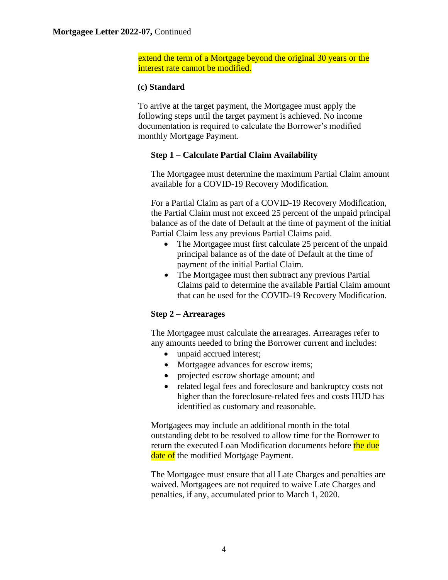extend the term of a Mortgage beyond the original 30 years or the interest rate cannot be modified.

### **(c) Standard**

To arrive at the target payment, the Mortgagee must apply the following steps until the target payment is achieved. No income documentation is required to calculate the Borrower's modified monthly Mortgage Payment.

# **Step 1 – Calculate Partial Claim Availability**

The Mortgagee must determine the maximum Partial Claim amount available for a COVID-19 Recovery Modification.

For a Partial Claim as part of a COVID-19 Recovery Modification, the Partial Claim must not exceed 25 percent of the unpaid principal balance as of the date of Default at the time of payment of the initial Partial Claim less any previous Partial Claims paid.

- The Mortgagee must first calculate 25 percent of the unpaid principal balance as of the date of Default at the time of payment of the initial Partial Claim.
- The Mortgagee must then subtract any previous Partial Claims paid to determine the available Partial Claim amount that can be used for the COVID-19 Recovery Modification.

# **Step 2 – Arrearages**

The Mortgagee must calculate the arrearages. Arrearages refer to any amounts needed to bring the Borrower current and includes:

- unpaid accrued interest;
- Mortgagee advances for escrow items;
- projected escrow shortage amount; and
- related legal fees and foreclosure and bankruptcy costs not higher than the foreclosure-related fees and costs HUD has identified as customary and reasonable.

Mortgagees may include an additional month in the total outstanding debt to be resolved to allow time for the Borrower to return the executed Loan Modification documents before the due date of the modified Mortgage Payment.

The Mortgagee must ensure that all Late Charges and penalties are waived. Mortgagees are not required to waive Late Charges and penalties, if any, accumulated prior to March 1, 2020.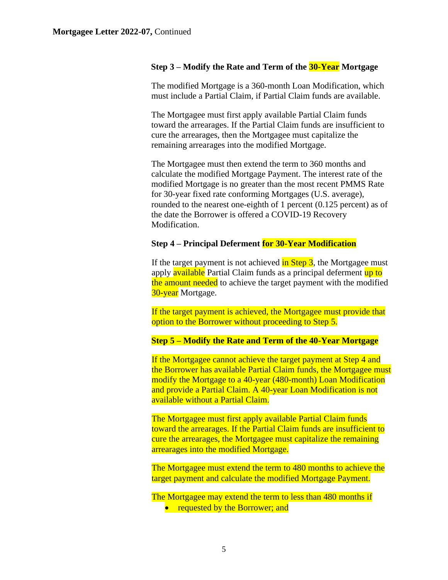#### **Step 3 – Modify the Rate and Term of the 30-Year Mortgage**

The modified Mortgage is a 360-month Loan Modification, which must include a Partial Claim, if Partial Claim funds are available.

The Mortgagee must first apply available Partial Claim funds toward the arrearages. If the Partial Claim funds are insufficient to cure the arrearages, then the Mortgagee must capitalize the remaining arrearages into the modified Mortgage.

The Mortgagee must then extend the term to 360 months and calculate the modified Mortgage Payment. The interest rate of the modified Mortgage is no greater than the most recent PMMS Rate for 30-year fixed rate conforming Mortgages (U.S. average), rounded to the nearest one-eighth of 1 percent (0.125 percent) as of the date the Borrower is offered a COVID-19 Recovery Modification.

### **Step 4 – Principal Deferment for 30-Year Modification**

If the target payment is not achieved in Step 3, the Mortgagee must apply **available** Partial Claim funds as a principal deferment up to the amount needed to achieve the target payment with the modified 30-year Mortgage.

If the target payment is achieved, the Mortgagee must provide that option to the Borrower without proceeding to Step 5.

### **Step 5 – Modify the Rate and Term of the 40-Year Mortgage**

If the Mortgagee cannot achieve the target payment at Step 4 and the Borrower has available Partial Claim funds, the Mortgagee must modify the Mortgage to a 40-year (480-month) Loan Modification and provide a Partial Claim. A 40-year Loan Modification is not available without a Partial Claim.

The Mortgagee must first apply available Partial Claim funds toward the arrearages. If the Partial Claim funds are insufficient to cure the arrearages, the Mortgagee must capitalize the remaining arrearages into the modified Mortgage.

The Mortgagee must extend the term to 480 months to achieve the target payment and calculate the modified Mortgage Payment.

The Mortgagee may extend the term to less than 480 months if • requested by the Borrower; and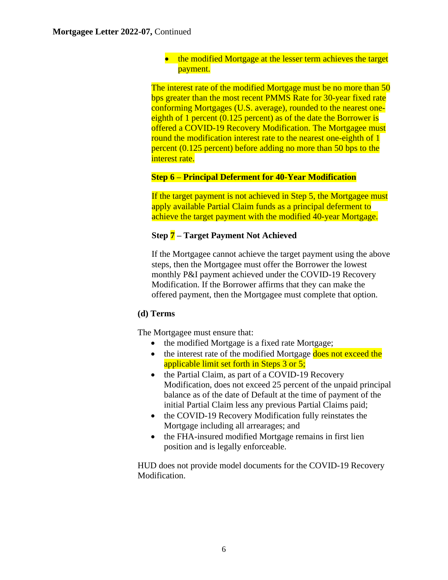• the modified Mortgage at the lesser term achieves the target payment.

The interest rate of the modified Mortgage must be no more than 50 bps greater than the most recent PMMS Rate for 30-year fixed rate conforming Mortgages (U.S. average), rounded to the nearest oneeighth of 1 percent (0.125 percent) as of the date the Borrower is offered a COVID-19 Recovery Modification. The Mortgagee must round the modification interest rate to the nearest one-eighth of 1 percent (0.125 percent) before adding no more than 50 bps to the interest rate.

# **Step 6 – Principal Deferment for 40-Year Modification**

If the target payment is not achieved in Step 5, the Mortgagee must apply available Partial Claim funds as a principal deferment to achieve the target payment with the modified 40-year Mortgage.

# **Step 7 – Target Payment Not Achieved**

If the Mortgagee cannot achieve the target payment using the above steps, then the Mortgagee must offer the Borrower the lowest monthly P&I payment achieved under the COVID-19 Recovery Modification. If the Borrower affirms that they can make the offered payment, then the Mortgagee must complete that option.

# **(d) Terms**

The Mortgagee must ensure that:

- the modified Mortgage is a fixed rate Mortgage;
- the interest rate of the modified Mortgage does not exceed the applicable limit set forth in Steps 3 or 5;
- the Partial Claim, as part of a COVID-19 Recovery Modification, does not exceed 25 percent of the unpaid principal balance as of the date of Default at the time of payment of the initial Partial Claim less any previous Partial Claims paid;
- the COVID-19 Recovery Modification fully reinstates the Mortgage including all arrearages; and
- the FHA-insured modified Mortgage remains in first lien position and is legally enforceable.

HUD does not provide model documents for the COVID-19 Recovery Modification.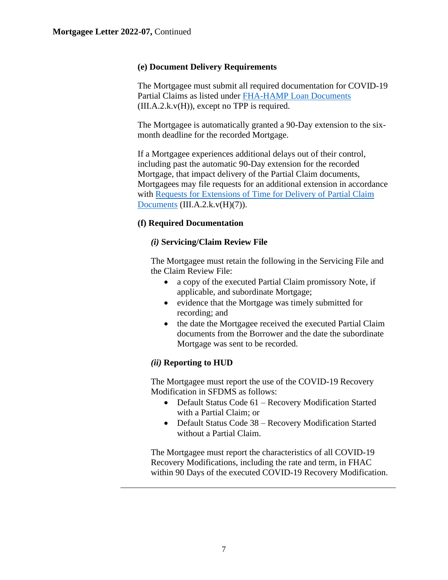#### **(e) Document Delivery Requirements**

The Mortgagee must submit all required documentation for COVID-19 Partial Claims as listed under [FHA-HAMP Loan Documents](https://www.hud.gov/program_offices/administration/hudclips/handbooks/hsgh)  $(III.A.2.k.v(H))$ , except no TPP is required.

The Mortgagee is automatically granted a 90-Day extension to the sixmonth deadline for the recorded Mortgage.

If a Mortgagee experiences additional delays out of their control, including past the automatic 90-Day extension for the recorded Mortgage, that impact delivery of the Partial Claim documents, Mortgagees may file requests for an additional extension in accordance with [Requests for Extensions of Time for Delivery of Partial Claim](https://www.hud.gov/program_offices/administration/hudclips/handbooks/hsgh) [Documents](https://www.hud.gov/program_offices/administration/hudclips/handbooks/hsgh) (III.A.2.k.v(H)(7)).

# **(f) Required Documentation**

### *(i)* **Servicing/Claim Review File**

The Mortgagee must retain the following in the Servicing File and the Claim Review File:

- a copy of the executed Partial Claim promissory Note, if applicable, and subordinate Mortgage;
- evidence that the Mortgage was timely submitted for recording; and
- the date the Mortgagee received the executed Partial Claim documents from the Borrower and the date the subordinate Mortgage was sent to be recorded.

# *(ii)* **Reporting to HUD**

The Mortgagee must report the use of the COVID-19 Recovery Modification in SFDMS as follows:

- Default Status Code 61 Recovery Modification Started with a Partial Claim; or
- Default Status Code 38 Recovery Modification Started without a Partial Claim.

The Mortgagee must report the characteristics of all COVID-19 Recovery Modifications, including the rate and term, in FHAC within 90 Days of the executed COVID-19 Recovery Modification.